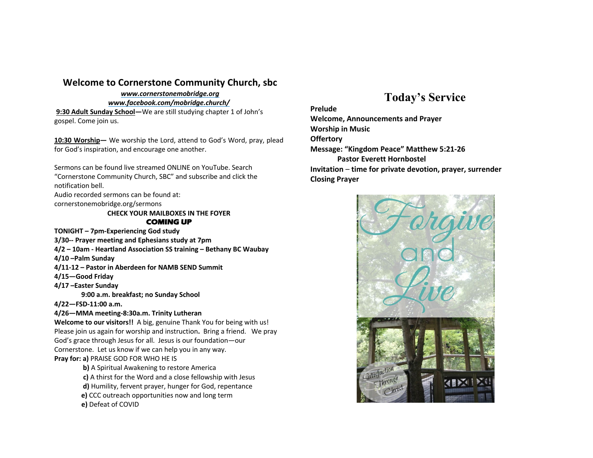## **Welcome to Cornerstone Community Church, sbc**

## *www.cornerstonemobridge.org*

*www.facebook.com/mobridge.church/*

**9:30 Adult Sunday School—**We are still studying chapter 1 of John's gospel. Come join us.

**10:30 Worship—** We worship the Lord, attend to God's Word, pray, plead for God's inspiration, and encourage one another.

Sermons can be found live streamed ONLINE on YouTube. Search "Cornerstone Community Church, SBC" and subscribe and click the notification bell.

Audio recorded sermons can be found at:

cornerstonemobridge.org/sermons

#### **CHECK YOUR MAILBOXES IN THE FOYER COMING UP**

**TONIGHT – 7pm-Experiencing God study**

- **3/30-- Prayer meeting and Ephesians study at 7pm**
- **4/2 – 10am - Heartland Association SS training – Bethany BC Waubay**
- **4/10 –Palm Sunday**
- **4/11-12 – Pastor in Aberdeen for NAMB SEND Summit**
- **4/15—Good Friday**
- **4/17 –Easter Sunday**
	- **9:00 a.m. breakfast; no Sunday School**

**4/22—FSD-11:00 a.m.**

### **4/26—MMA meeting-8:30a.m. Trinity Lutheran**

**Welcome to our visitors!!** A big, genuine Thank You for being with us! Please join us again for worship and instruction**.** Bring a friend. We pray God's grace through Jesus for all. Jesus is our foundation—our

Cornerstone. Let us know if we can help you in any way. **Pray for: a)** PRAISE GOD FOR WHO HE IS

- - **b)** A Spiritual Awakening to restore America **c)** A thirst for the Word and a close fellowship with Jesus
	- **d)** Humility, fervent prayer, hunger for God, repentance
	- **e)** CCC outreach opportunities now and long term

**e)** Defeat of COVID

# **Today's Service**

### **Prelude**

**Welcome, Announcements and Prayer Worship in Music Offertory Message: "Kingdom Peace" Matthew 5:21-26 Pastor Everett Hornbostel Invitation** – **time for private devotion, prayer, surrender Closing Prayer**